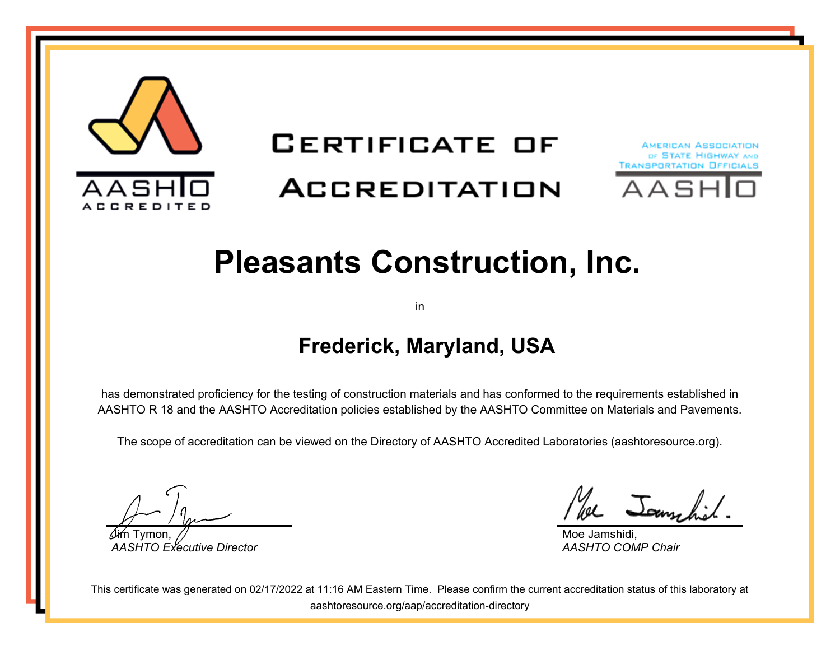

# **CERTIFICATE OF**

## **ACCREDITATION**





# **Pleasants Construction, Inc.**

in

#### **Frederick, Maryland, USA**

has demonstrated proficiency for the testing of construction materials and has conformed to the requirements established in AASHTO R 18 and the AASHTO Accreditation policies established by the AASHTO Committee on Materials and Pavements.

The scope of accreditation can be viewed on the Directory of AASHTO Accredited Laboratories (aashtoresource.org).

Jim Tymon, *AASHTO Executive Director*

We Jammhil

Moe Jamshidi, *AASHTO COMP Chair*

This certificate was generated on 02/17/2022 at 11:16 AM Eastern Time. Please confirm the current accreditation status of this laboratory at aashtoresource.org/aap/accreditation-directory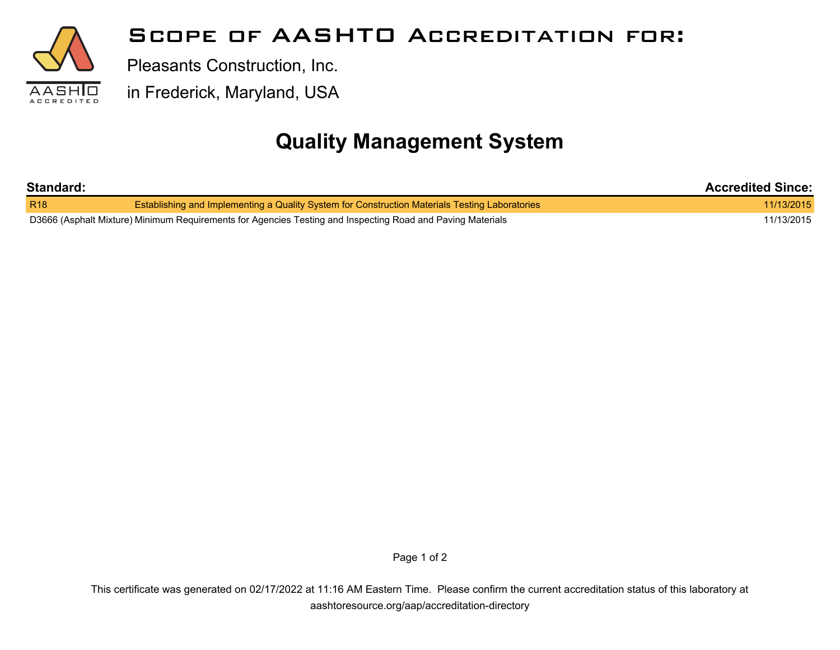

#### **Scope of AASHTO Accreditation for:**

Pleasants Construction, Inc.

in Frederick, Maryland, USA

### **Quality Management System**

| Standard:                                                                                                  |                                                                                                | <b>Accredited Since:</b> |
|------------------------------------------------------------------------------------------------------------|------------------------------------------------------------------------------------------------|--------------------------|
| R <sub>18</sub>                                                                                            | Establishing and Implementing a Quality System for Construction Materials Testing Laboratories | 11/13/2015               |
| D3666 (Asphalt Mixture) Minimum Requirements for Agencies Testing and Inspecting Road and Paving Materials |                                                                                                | 11/13/2015               |

Page 1 of 2